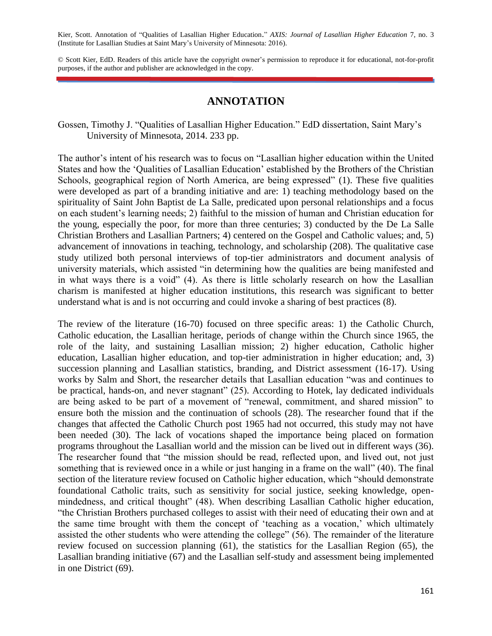Kier, Scott. Annotation of "Qualities of Lasallian Higher Education." *AXIS: Journal of Lasallian Higher Education* 7, no. 3 (Institute for Lasallian Studies at Saint Mary's University of Minnesota: 2016).

© Scott Kier, EdD. Readers of this article have the copyright owner's permission to reproduce it for educational, not-for-profit purposes, if the author and publisher are acknowledged in the copy.

## **ANNOTATION**

Gossen, Timothy J. "Qualities of Lasallian Higher Education." EdD dissertation, Saint Mary's University of Minnesota, 2014. 233 pp.

The author's intent of his research was to focus on "Lasallian higher education within the United States and how the 'Qualities of Lasallian Education' established by the Brothers of the Christian Schools, geographical region of North America, are being expressed" (1). These five qualities were developed as part of a branding initiative and are: 1) teaching methodology based on the spirituality of Saint John Baptist de La Salle, predicated upon personal relationships and a focus on each student's learning needs; 2) faithful to the mission of human and Christian education for the young, especially the poor, for more than three centuries; 3) conducted by the De La Salle Christian Brothers and Lasallian Partners; 4) centered on the Gospel and Catholic values; and, 5) advancement of innovations in teaching, technology, and scholarship (208). The qualitative case study utilized both personal interviews of top-tier administrators and document analysis of university materials, which assisted "in determining how the qualities are being manifested and in what ways there is a void" (4). As there is little scholarly research on how the Lasallian charism is manifested at higher education institutions, this research was significant to better understand what is and is not occurring and could invoke a sharing of best practices (8).

The review of the literature (16-70) focused on three specific areas: 1) the Catholic Church, Catholic education, the Lasallian heritage, periods of change within the Church since 1965, the role of the laity, and sustaining Lasallian mission; 2) higher education, Catholic higher education, Lasallian higher education, and top-tier administration in higher education; and, 3) succession planning and Lasallian statistics, branding, and District assessment (16-17). Using works by Salm and Short, the researcher details that Lasallian education "was and continues to be practical, hands-on, and never stagnant" (25). According to Hotek, lay dedicated individuals are being asked to be part of a movement of "renewal, commitment, and shared mission" to ensure both the mission and the continuation of schools (28). The researcher found that if the changes that affected the Catholic Church post 1965 had not occurred, this study may not have been needed (30). The lack of vocations shaped the importance being placed on formation programs throughout the Lasallian world and the mission can be lived out in different ways (36). The researcher found that "the mission should be read, reflected upon, and lived out, not just something that is reviewed once in a while or just hanging in a frame on the wall" (40). The final section of the literature review focused on Catholic higher education, which "should demonstrate foundational Catholic traits, such as sensitivity for social justice, seeking knowledge, openmindedness, and critical thought" (48). When describing Lasallian Catholic higher education, "the Christian Brothers purchased colleges to assist with their need of educating their own and at the same time brought with them the concept of 'teaching as a vocation,' which ultimately assisted the other students who were attending the college" (56). The remainder of the literature review focused on succession planning (61), the statistics for the Lasallian Region (65), the Lasallian branding initiative (67) and the Lasallian self-study and assessment being implemented in one District (69).